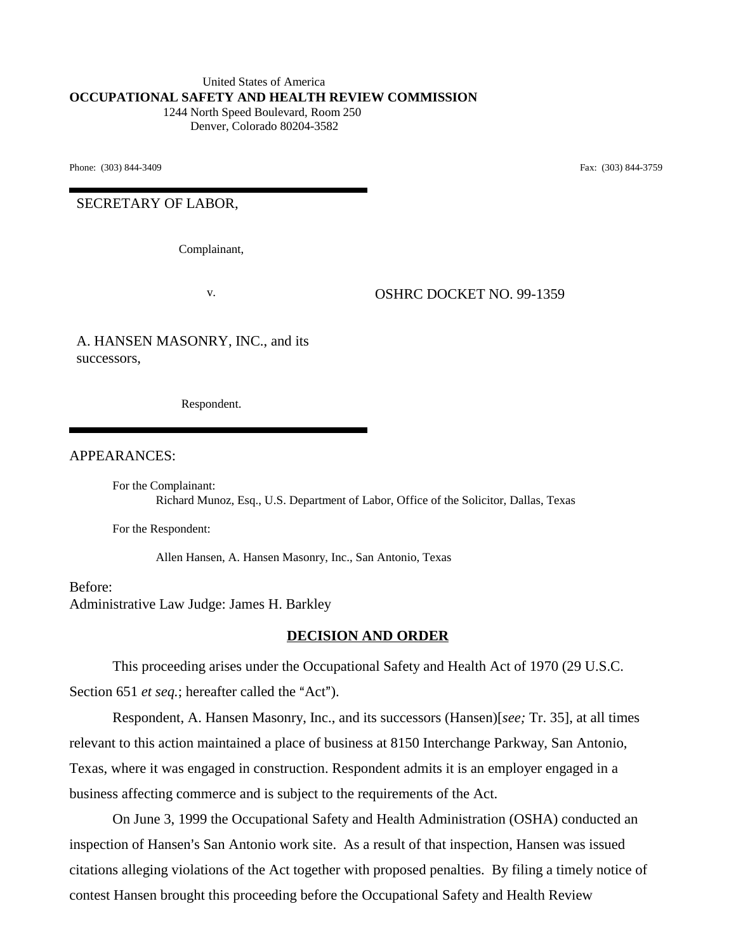#### United States of America **OCCUPATIONAL SAFETY AND HEALTH REVIEW COMMISSION** 1244 North Speed Boulevard, Room 250

Denver, Colorado 80204-3582

Phone: (303) 844-3409 **Fax:** (303) 844-3759

SECRETARY OF LABOR,

Complainant,

v. OSHRC DOCKET NO. 99-1359

A. HANSEN MASONRY, INC., and its successors,

Respondent.

APPEARANCES:

For the Complainant: Richard Munoz, Esq., U.S. Department of Labor, Office of the Solicitor, Dallas, Texas

For the Respondent:

Allen Hansen, A. Hansen Masonry, Inc., San Antonio, Texas

Before: Administrative Law Judge: James H. Barkley

#### **DECISION AND ORDER**

This proceeding arises under the Occupational Safety and Health Act of 1970 (29 U.S.C. Section 651 *et seq.*; hereafter called the "Act").

Respondent, A. Hansen Masonry, Inc., and its successors (Hansen)[*see;* Tr. 35], at all times relevant to this action maintained a place of business at 8150 Interchange Parkway, San Antonio, Texas, where it was engaged in construction. Respondent admits it is an employer engaged in a business affecting commerce and is subject to the requirements of the Act.

On June 3, 1999 the Occupational Safety and Health Administration (OSHA) conducted an inspection of Hansen's San Antonio work site. As a result of that inspection, Hansen was issued citations alleging violations of the Act together with proposed penalties. By filing a timely notice of contest Hansen brought this proceeding before the Occupational Safety and Health Review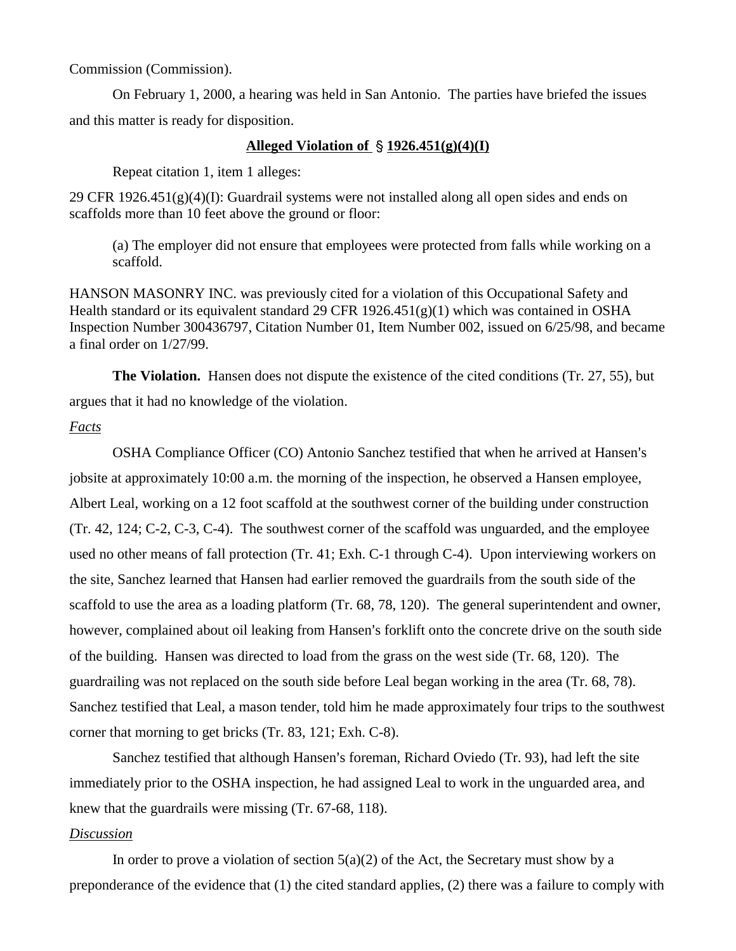Commission (Commission).

On February 1, 2000, a hearing was held in San Antonio. The parties have briefed the issues and this matter is ready for disposition.

### **Alleged Violation of 1926.451(g)(4)(I)**

Repeat citation 1, item 1 alleges:

29 CFR 1926.451(g)(4)(I): Guardrail systems were not installed along all open sides and ends on scaffolds more than 10 feet above the ground or floor:

(a) The employer did not ensure that employees were protected from falls while working on a scaffold.

HANSON MASONRY INC. was previously cited for a violation of this Occupational Safety and Health standard or its equivalent standard 29 CFR  $1926.451(g)(1)$  which was contained in OSHA Inspection Number 300436797, Citation Number 01, Item Number 002, issued on 6/25/98, and became a final order on 1/27/99.

**The Violation.** Hansen does not dispute the existence of the cited conditions (Tr. 27, 55), but argues that it had no knowledge of the violation.

## *Facts*

OSHA Compliance Officer (CO) Antonio Sanchez testified that when he arrived at Hansen's jobsite at approximately 10:00 a.m. the morning of the inspection, he observed a Hansen employee, Albert Leal, working on a 12 foot scaffold at the southwest corner of the building under construction (Tr. 42, 124; C-2, C-3, C-4). The southwest corner of the scaffold was unguarded, and the employee used no other means of fall protection (Tr. 41; Exh. C-1 through C-4). Upon interviewing workers on the site, Sanchez learned that Hansen had earlier removed the guardrails from the south side of the scaffold to use the area as a loading platform (Tr. 68, 78, 120). The general superintendent and owner, however, complained about oil leaking from Hansen's forklift onto the concrete drive on the south side of the building. Hansen was directed to load from the grass on the west side (Tr. 68, 120). The guardrailing was not replaced on the south side before Leal began working in the area (Tr. 68, 78). Sanchez testified that Leal, a mason tender, told him he made approximately four trips to the southwest corner that morning to get bricks (Tr. 83, 121; Exh. C-8).

Sanchez testified that although Hansen's foreman, Richard Oviedo (Tr. 93), had left the site immediately prior to the OSHA inspection, he had assigned Leal to work in the unguarded area, and knew that the guardrails were missing (Tr. 67-68, 118).

### *Discussion*

In order to prove a violation of section  $5(a)(2)$  of the Act, the Secretary must show by a preponderance of the evidence that (1) the cited standard applies, (2) there was a failure to comply with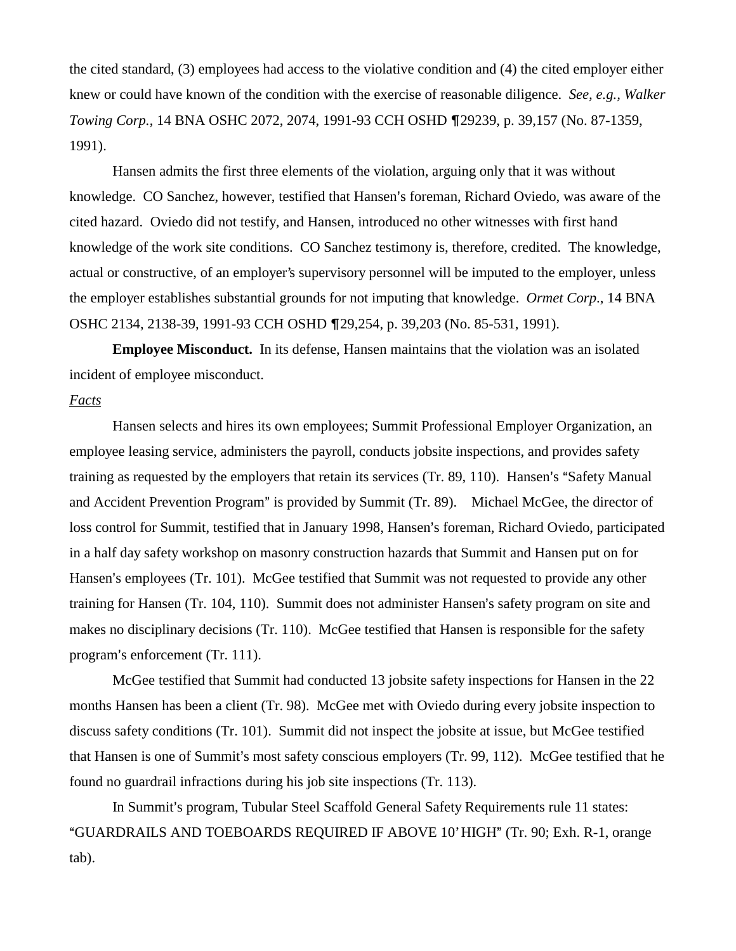the cited standard, (3) employees had access to the violative condition and (4) the cited employer either knew or could have known of the condition with the exercise of reasonable diligence. *See, e.g., Walker Towing Corp.*, 14 BNA OSHC 2072, 2074, 1991-93 CCH OSHD ¶29239, p. 39,157 (No. 87-1359, 1991).

Hansen admits the first three elements of the violation, arguing only that it was without knowledge. CO Sanchez, however, testified that Hansen's foreman, Richard Oviedo, was aware of the cited hazard. Oviedo did not testify, and Hansen, introduced no other witnesses with first hand knowledge of the work site conditions. CO Sanchez testimony is, therefore, credited. The knowledge, actual or constructive, of an employer's supervisory personnel will be imputed to the employer, unless the employer establishes substantial grounds for not imputing that knowledge. *Ormet Corp*., 14 BNA OSHC 2134, 2138-39, 1991-93 CCH OSHD 29,254, p. 39,203 (No. 85-531, 1991).

**Employee Misconduct.** In its defense, Hansen maintains that the violation was an isolated incident of employee misconduct.

#### *Facts*

Hansen selects and hires its own employees; Summit Professional Employer Organization, an employee leasing service, administers the payroll, conducts jobsite inspections, and provides safety training as requested by the employers that retain its services (Tr. 89, 110). Hansen's "Safety Manual and Accident Prevention Program" is provided by Summit (Tr. 89). Michael McGee, the director of loss control for Summit, testified that in January 1998, Hansen's foreman, Richard Oviedo, participated in a half day safety workshop on masonry construction hazards that Summit and Hansen put on for Hansen's employees (Tr. 101). McGee testified that Summit was not requested to provide any other training for Hansen (Tr. 104, 110). Summit does not administer Hansen's safety program on site and makes no disciplinary decisions (Tr. 110). McGee testified that Hansen is responsible for the safety program's enforcement (Tr. 111).

McGee testified that Summit had conducted 13 jobsite safety inspections for Hansen in the 22 months Hansen has been a client (Tr. 98). McGee met with Oviedo during every jobsite inspection to discuss safety conditions (Tr. 101). Summit did not inspect the jobsite at issue, but McGee testified that Hansen is one of Summit's most safety conscious employers (Tr. 99, 112). McGee testified that he found no guardrail infractions during his job site inspections (Tr. 113).

In Summit's program, Tubular Steel Scaffold General Safety Requirements rule 11 states: "GUARDRAILS AND TOEBOARDS REQUIRED IF ABOVE 10' HIGH" (Tr. 90; Exh. R-1, orange tab).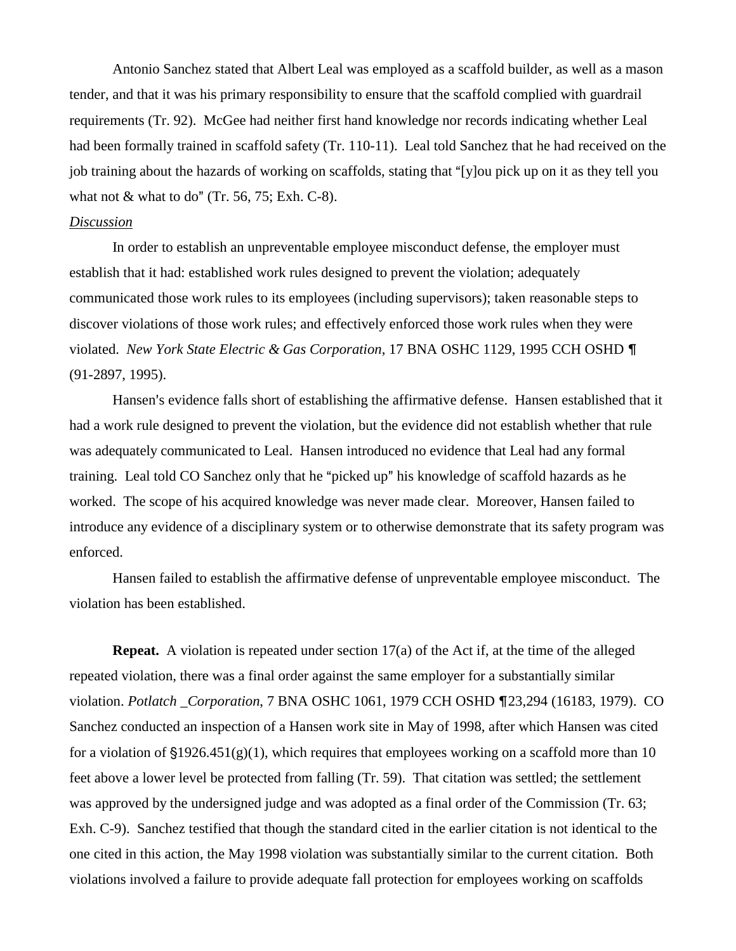Antonio Sanchez stated that Albert Leal was employed as a scaffold builder, as well as a mason tender, and that it was his primary responsibility to ensure that the scaffold complied with guardrail requirements (Tr. 92). McGee had neither first hand knowledge nor records indicating whether Leal had been formally trained in scaffold safety (Tr. 110-11). Leal told Sanchez that he had received on the job training about the hazards of working on scaffolds, stating that "[y]ou pick up on it as they tell you what not  $&$  what to do" (Tr. 56, 75; Exh. C-8).

### *Discussion*

In order to establish an unpreventable employee misconduct defense, the employer must establish that it had: established work rules designed to prevent the violation; adequately communicated those work rules to its employees (including supervisors); taken reasonable steps to discover violations of those work rules; and effectively enforced those work rules when they were violated. *New York State Electric & Gas Corporation*, 17 BNA OSHC 1129, 1995 CCH OSHD (91-2897, 1995).

Hansen's evidence falls short of establishing the affirmative defense. Hansen established that it had a work rule designed to prevent the violation, but the evidence did not establish whether that rule was adequately communicated to Leal. Hansen introduced no evidence that Leal had any formal training. Leal told CO Sanchez only that he "picked up" his knowledge of scaffold hazards as he worked. The scope of his acquired knowledge was never made clear. Moreover, Hansen failed to introduce any evidence of a disciplinary system or to otherwise demonstrate that its safety program was enforced.

Hansen failed to establish the affirmative defense of unpreventable employee misconduct. The violation has been established.

**Repeat.** A violation is repeated under section 17(a) of the Act if, at the time of the alleged repeated violation, there was a final order against the same employer for a substantially similar violation. *Potlatch \_Corporation*, 7 BNA OSHC 1061, 1979 CCH OSHD ¶23,294 (16183, 1979). CO Sanchez conducted an inspection of a Hansen work site in May of 1998, after which Hansen was cited for a violation of §1926.451(g)(1), which requires that employees working on a scaffold more than 10 feet above a lower level be protected from falling (Tr. 59). That citation was settled; the settlement was approved by the undersigned judge and was adopted as a final order of the Commission (Tr. 63; Exh. C-9). Sanchez testified that though the standard cited in the earlier citation is not identical to the one cited in this action, the May 1998 violation was substantially similar to the current citation. Both violations involved a failure to provide adequate fall protection for employees working on scaffolds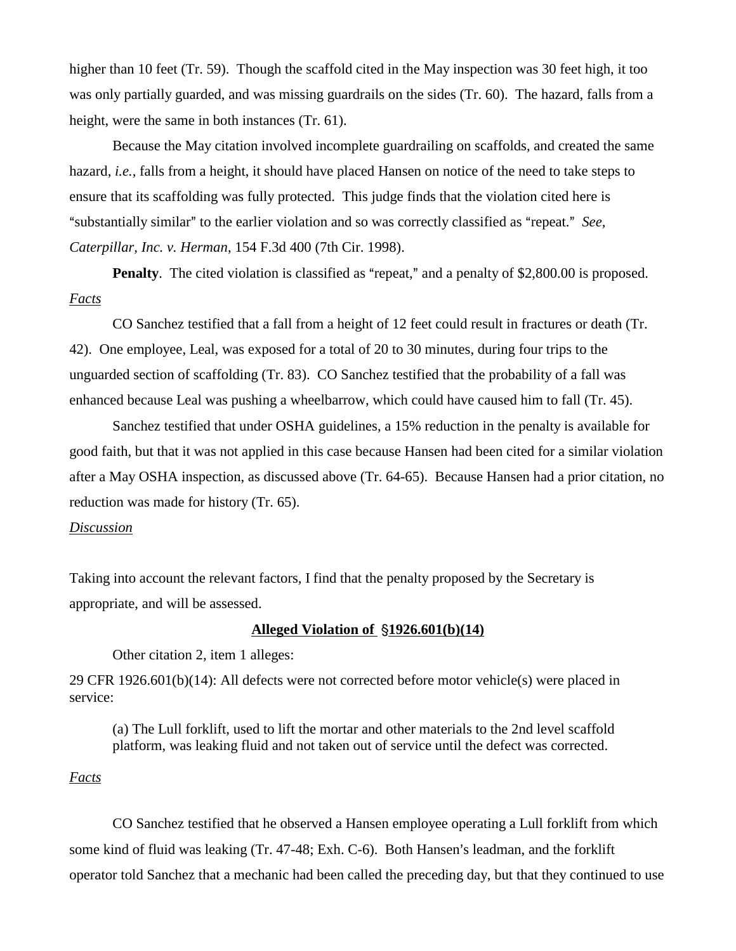higher than 10 feet (Tr. 59). Though the scaffold cited in the May inspection was 30 feet high, it too was only partially guarded, and was missing guardrails on the sides (Tr. 60). The hazard, falls from a height, were the same in both instances (Tr. 61).

Because the May citation involved incomplete guardrailing on scaffolds, and created the same hazard, *i.e.,* falls from a height, it should have placed Hansen on notice of the need to take steps to ensure that its scaffolding was fully protected. This judge finds that the violation cited here is "substantially similar" to the earlier violation and so was correctly classified as "repeat." *See*, *Caterpillar, Inc. v. Herman*, 154 F.3d 400 (7th Cir. 1998).

**Penalty**. The cited violation is classified as "repeat," and a penalty of \$2,800.00 is proposed. *Facts*

CO Sanchez testified that a fall from a height of 12 feet could result in fractures or death (Tr. 42). One employee, Leal, was exposed for a total of 20 to 30 minutes, during four trips to the unguarded section of scaffolding (Tr. 83). CO Sanchez testified that the probability of a fall was enhanced because Leal was pushing a wheelbarrow, which could have caused him to fall (Tr. 45).

Sanchez testified that under OSHA guidelines, a 15% reduction in the penalty is available for good faith, but that it was not applied in this case because Hansen had been cited for a similar violation after a May OSHA inspection, as discussed above (Tr. 64-65). Because Hansen had a prior citation, no reduction was made for history (Tr. 65).

## *Discussion*

Taking into account the relevant factors, I find that the penalty proposed by the Secretary is appropriate, and will be assessed.

### **Alleged Violation of 1926.601(b)(14)**

Other citation 2, item 1 alleges:

29 CFR 1926.601(b)(14): All defects were not corrected before motor vehicle(s) were placed in service:

(a) The Lull forklift, used to lift the mortar and other materials to the 2nd level scaffold platform, was leaking fluid and not taken out of service until the defect was corrected.

### *Facts*

CO Sanchez testified that he observed a Hansen employee operating a Lull forklift from which some kind of fluid was leaking  $(Tr. 47-48; \text{Exh. C-6})$ . Both Hansen's leadman, and the forklift operator told Sanchez that a mechanic had been called the preceding day, but that they continued to use